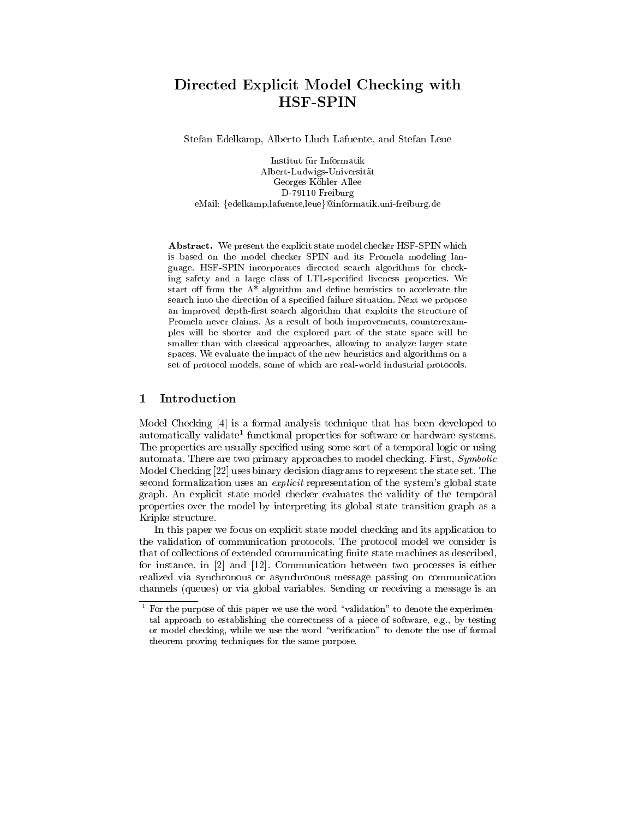# Directed Explicit Model Checking with HSF-SPIN

Stefan Edelkamp, Alberto Lluch Lafuente, and Stefan Leue

Institut fur Informatik Albert-Ludwigs-Universitat Georges-Kohler-Allee D-79110 Freiburg eMail: {edelkamp,lafuente,leue}@informatik.uni-freiburg.de

Abstract. We present the explicit state model checker HSF-SPIN which is based on the model checker SPIN and its Promela modeling language. HSF-SPIN incorporates directed search algorithms for checking safety and a large class of LTL-specied liveness properties. We start off from the  $A^*$  algorithm and define heuristics to accelerate the search into the direction of a specied failure situation. Next we propose an improved depth-first search algorithm that exploits the structure of Promela never claims. As a result of both improvements, counterexamples will be shorter and the explored part of the state space will be smaller than with classical approaches, allowing to analyze larger state spaces. We evaluate the impact of the new heuristics and algorithms on a set of protocol models, some of which are real-world industrial protocols.

## 1 Introduction

Model Checking [4] is a formal analysis technique that has been developed to automatically validate functional properties for software or hardware systems. The properties are usually specified using some sort of a temporal logic or using automata. There are two primary approaches to model checking. First, Symbolic Model Checking [22] uses binary decision diagrams to represent the state set. The second formalization uses an *explicit* representation of the system's global state graph. An explicit state model checker evaluates the validity of the temporal properties over the model by interpreting its global state transition graph as a Kripke structure.

In this paper we focus on explicit state model checking and its application to the validation of communication protocols. The protocol model we consider is that of collections of extended communicating finite state machines as described, for instance, in [2] and [12]. Communication between two processes is either realized via synchronous or asynchronous message passing on communication channels (queues) or via global variables. Sending or receiving a message is an

 $^\circ$  for the purpose of this paper we use the word "validation" to denote the experimental approach to establishing the correctness of a piece of software, e.g., by testing or model checking, while we use the word "verification" to denote the use of formal theorem proving techniques for the same purpose.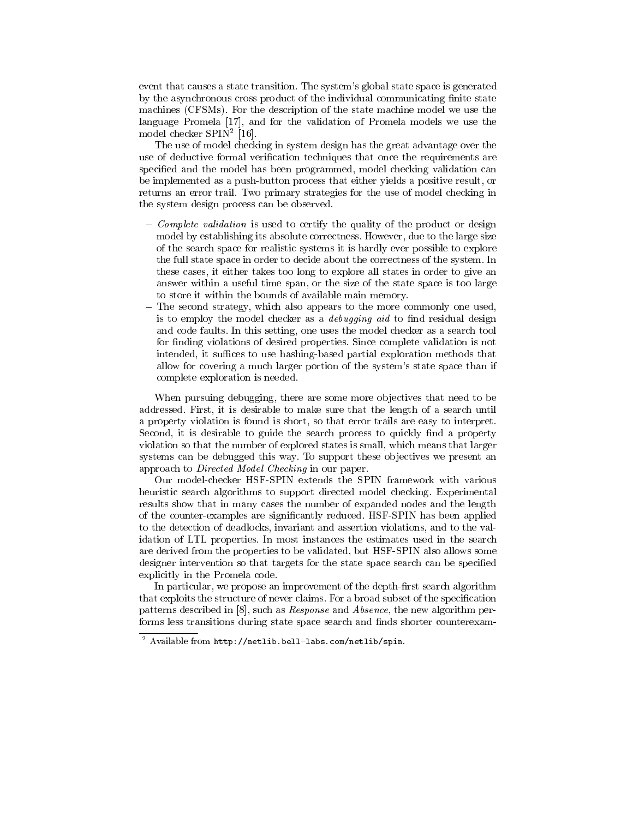event that causes a state transition. The system's global state space is generated by the asynchronous cross product of the individual communicating finite state machines (CFSMs). For the description of the state machine model we use the language Promela [17], and for the validation of Promela models we use the model checker SPIN<sup>2</sup> [16].

The use of model checking in system design has the great advantage over the use of deductive formal verification techniques that once the requirements are specied and the model has been programmed, model checking validation can be implemented as a push-button process that either yields a positive result, or returns an error trail. Two primary strategies for the use of model checking in the system design process can be observed.

- ${ \hbox{ Complete validation}}$  is used to certify the quality of the product or design model by establishing its absolute correctness. However, due to the large size of the search space for realistic systems it is hardly ever possible to explore the full state space in order to decide about the correctness of the system. In these cases, it either takes too long to explore all states in order to give an answer within a useful time span, or the size of the state space is too large to store it within the bounds of available main memory.
- The second strategy, which also appears to the more commonly one used, is to employ the model checker as a *debugging aid* to find residual design and code faults. In this setting, one uses the model checker as a search tool for finding violations of desired properties. Since complete validation is not intended, it suffices to use hashing-based partial exploration methods that allow for covering a much larger portion of the system's state space than if complete exploration is needed.

When pursuing debugging, there are some more objectives that need to be addressed. First, it is desirable to make sure that the length of a search until a property violation is found is short, so that error trails are easy to interpret. Second, it is desirable to guide the search process to quickly find a property violation so that the number of explored states is small, which means that larger systems can be debugged this way. To support these objectives we present an approach to Directed Model Checking in our paper.

Our model-checker HSF-SPIN extends the SPIN framework with various heuristic search algorithms to support directed model checking. Experimental results show that in many cases the number of expanded nodes and the length of the counter-examples are signicantly reduced. HSF-SPIN has been applied to the detection of deadlocks, invariant and assertion violations, and to the validation of LTL properties. In most instances the estimates used in the search are derived from the properties to be validated, but HSF-SPIN also allows some designer intervention so that targets for the state space search can be specied explicitly in the Promela code.

In particular, we propose an improvement of the depth-first search algorithm that exploits the structure of never claims. For a broad subset of the specication patterns described in [8], such as Response and Absence, the new algorithm performs less transitions during state space search and finds shorter counterexam-

<sup>2</sup> Available from http://netlib.bell-labs.com/netlib/spin.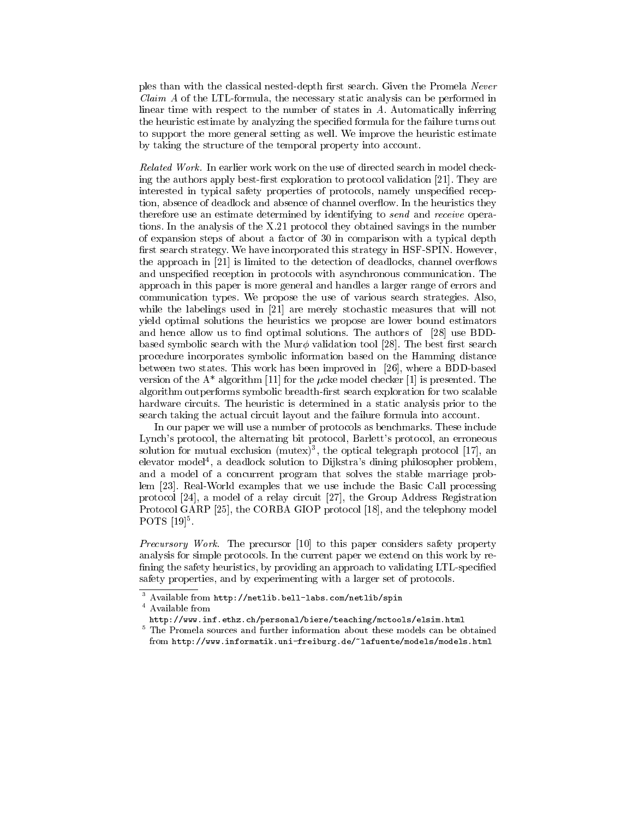ples than with the classical nested-depth first search. Given the Promela Never Claim A of the LTL-formula, the necessary static analysis can be performed in linear time with respect to the number of states in A. Automatically inferring the heuristic estimate by analyzing the specied formula for the failure turns out to support the more general setting as well. We improve the heuristic estimate by taking the structure of the temporal property into account.

Related Work. In earlier work work on the use of directed search in model checking the authors apply best-first exploration to protocol validation  $[21]$ . They are interested in typical safety properties of protocols, namely unspecified reception, absence of deadlock and absence of channel overflow. In the heuristics they therefore use an estimate determined by identifying to send and receive operations. In the analysis of the X.21 protocol they obtained savings in the number of expansion steps of about a factor of 30 in comparison with a typical depth first search strategy. We have incorporated this strategy in HSF-SPIN. However, the approach in [21] is limited to the detection of deadlocks, channel overflows and unspecified reception in protocols with asynchronous communication. The approach in this paper is more general and handles a larger range of errors and communication types. We propose the use of various search strategies. Also, communication types. We propose the use of various search strategies. Also, while the labelings used in  $[21]$  are merely stochastic measures that will not yield optimal solutions the heuristics we propose are lower bound estimators and hence allow us to find optimal solutions. The authors of [28] use BDDbased symbolic search with the Mur $\phi$  validation tool [28]. The best first search procedure incorporates symbolic information based on the Hamming distance between two states. This work has been improved in [26], where a BDD-based version of the  $A^*$  algorithm [11] for the  $\mu$ cke model checker [1] is presented. The algorithm outperforms symbolic breadth-first search exploration for two scalable hardware circuits. The heuristic is determined in a static analysis prior to the search taking the actual circuit layout and the failure formula into account.

In our paper we will use a number of protocols as benchmarks. These include Lynch's protocol, the alternating bit protocol, Barlett's protocol, an erroneous solution for mutual exclusion (mutex), the optical telegraph protocol  $[17]$ , an elevator model<sup>4</sup> , a deadlock solution to Dijkstra's dining philosopher problem, and a model of a concurrent program that solves the stable marriage problem [23]. Real-World examples that we use include the Basic Call processing protocol [24], a model of a relay circuit [27], the Group Address Registration Protocol GARP [25], the CORBA GIOP protocol [18], and the telephony model  $P \cup I \supseteq |I \cup I|$ .

Precursory Work. The precursor [10] to this paper considers safety property analysis for simple protocols. In the current paper we extend on this work by re fining the safety heuristics, by providing an approach to validating LTL-specified safety properties, and by experimenting with a larger set of protocols.

<sup>4</sup> Available from

<sup>3</sup> Available from http://netlib.bell-labs.com/netlib/spin

http://www.inf.ethz.ch/personal/biere/teaching/mctools/elsim.html

<sup>5</sup> The Promela sources and further information about these models can be obtained from http://www.informatik.uni-freiburg.de/~lafuente/models/models.html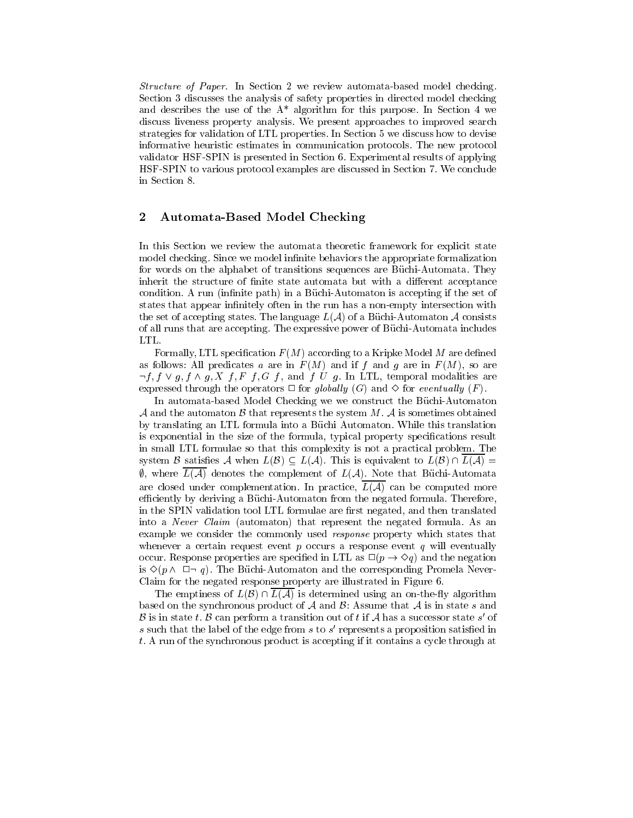Structure of Paper. In Section 2 we review automata-based model checking. Section 3 discusses the analysis of safety properties in directed model checking and describes the use of the  $A^*$  algorithm for this purpose. In Section 4 we discuss liveness property analysis. We present approaches to improved search strategies for validation of LTL properties. In Section 5 we discuss how to devise informative heuristic estimates in communication protocols. The new protocol validator HSF-SPIN is presented in Section 6. Experimental results of applying HSF-SPIN to various protocol examples are discussed in Section 7. We conclude in Section 8.

#### 2 Automata-Based Model Checking

In this Section we review the automata theoretic framework for explicit state model checking. Since we model infinite behaviors the appropriate formalization for words on the alphabet of transitions sequences are Buchi-Automata. They inherit the structure of finite state automata but with a different acceptance condition. A run (infinite path) in a Büchi-Automaton is accepting if the set of states that appear infinitely often in the run has a non-empty intersection with the set of accepting states. The language  $L(\mathcal{A})$  of a Büchi-Automaton  $\mathcal A$  consists of all runs that are accepting. The expressive power of Buchi-Automata includes LTL.

Formally, LTL specification  $F(M)$  according to a Kripke Model M are defined as follows: All predicates a are in  $F(M)$  and if f and g are in  $F(M)$ , so are  $\neg f, f \lor g, f \land g, X \nightharpoondown f, G \nightharpoondown f, g \lor g$ . In LTL, temporal modalities are expressed through the operators  $\Box$  for globally (G) and  $\diamond$  for eventually (F).

In automata-based Model Checking we we construct the Büchi-Automaton A and the automaton  $\beta$  that represents the system  $M$ . A is sometimes obtained by translating an LTL formula into a Büchi Automaton. While this translation is exponential in the size of the formula, typical property specifications result in small LTL formulae so that this complexity is not a practical problem. The system B satisfies A when  $L(\mathcal{B}) \subseteq L(\mathcal{A})$ . This is equivalent to  $L(\mathcal{B}) \cap L(\mathcal{A}) =$  $\emptyset$ , where  $L(\mathcal{A})$  denotes the complement of  $L(\mathcal{A})$ . Note that Büchi-Automata are closed under complementation. In practice,  $L(\mathcal{A})$  can be computed more efficiently by deriving a Büchi-Automaton from the negated formula. Therefore, in the SPIN validation tool LTL formulae are first negated, and then translated into a Never Claim (automaton) that represent the negated formula. As an example we consider the commonly used response property which states that whenever a certain request event  $p$  occurs a response event  $q$  will eventually occur. Response properties are specified in LTL as  $\Box(p \rightarrow \Diamond q)$  and the negation is  $\Diamond (p \land \Box \neg q)$ . The Büchi-Automaton and the corresponding Promela Never-Claim for the negated response property are illustrated in Figure 6.

The emptiness of  $L(\mathcal{B}) \cap L(\mathcal{A})$  is determined using an on-the-fly algorithm based on the synchronous product of  $A$  and  $B$ : Assume that  $A$  is in state s and  $D$  is in state t.  $D$  can perform a transition out of t if  $A$  has a successor state  $s$  of  $s$  such that the label of the edge from  $s$  to  $s$  -represents a proposition satisfied in  $\,$ t. A run of the synchronous product is accepting if it contains a cycle through at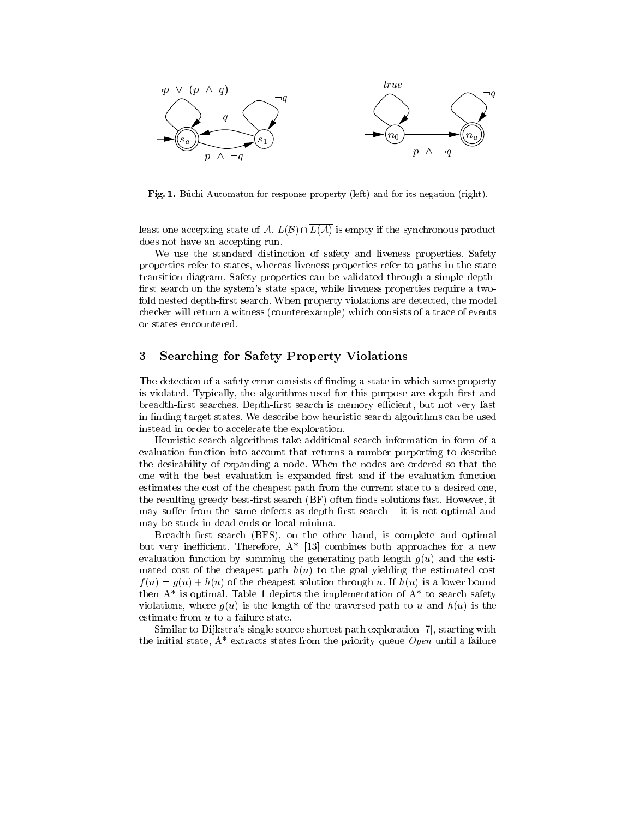

Fig. 1. Büchi-Automaton for response property (left) and for its negation (right).

least one accepting state of A.  $L(\mathcal{B}) \cap \overline{L(\mathcal{A})}$  is empty if the synchronous product does not have an accepting run.

We use the standard distinction of safety and liveness properties. Safety properties refer to states, whereas liveness properties refer to paths in the state transition diagram. Safety properties can be validated through a simple depth first search on the system's state space, while liveness properties require a twofold nested depth-first search. When property violations are detected, the model checker will return a witness (counterexample) which consists of a trace of events or states encountered.

#### 3 3 Searching for Safety Property Violations

The detection of a safety error consists of finding a state in which some property is violated. Typically, the algorithms used for this purpose are depth-first and breadth-first searches. Depth-first search is memory efficient, but not very fast in finding target states. We describe how heuristic search algorithms can be used instead in order to accelerate the exploration.

Heuristic search algorithms take additional search information in form of a evaluation function into account that returns a number purporting to describe the desirability of expanding a node. When the nodes are ordered so that the one with the best evaluation is expanded first and if the evaluation function estimates the cost of the cheapest path from the current state to a desired one, the resulting greedy best-first search (BF) often finds solutions fast. However, it may suffer from the same defects as depth-first search  $-$  it is not optimal and may be stuck in dead-ends or local minima.

Breadth-first search (BFS), on the other hand, is complete and optimal but very inefficient. Therefore,  $A^*$  [13] combines both approaches for a new evaluation function by summing the generating path length  $q(u)$  and the estimated cost of the cheapest path  $h(u)$  to the goal yielding the estimated cost  $f(u) = g(u) + h(u)$  of the cheapest solution through u. If  $h(u)$  is a lower bound then  $A^*$  is optimal. Table 1 depicts the implementation of  $A^*$  to search safety violations, where  $g(u)$  is the length of the traversed path to u and  $h(u)$  is the estimate from u to a failure state.

Similar to Dijkstra's single source shortest path exploration [7], starting with the initial state,  $A^*$  extracts states from the priority queue Open until a failure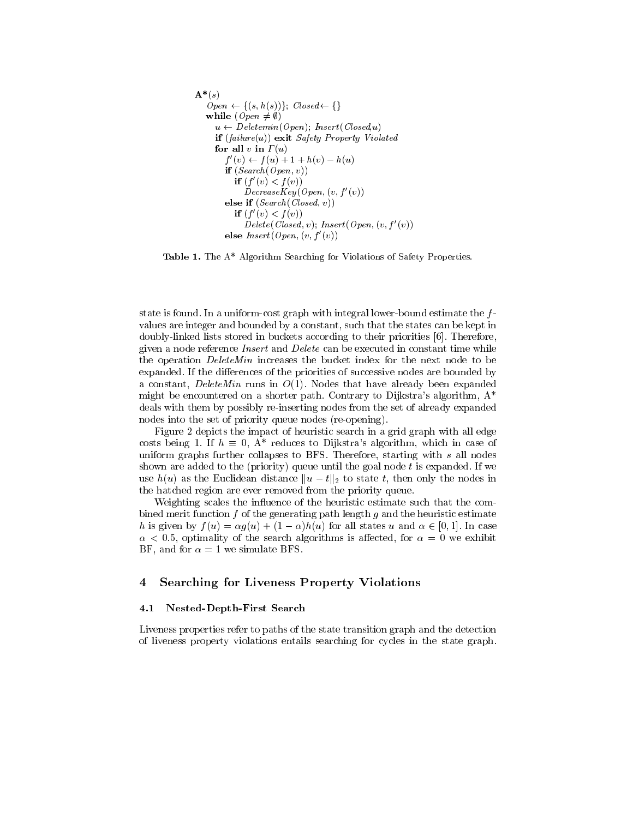```
\mathbf{A}^*(s)Open \leftarrow \{(s, h(s))\}; Closed \leftarrow \{\}while (\text{Open} \neq \emptyset)u \leftarrow Deletemin(Open); Insert (Closed,u)
     if (failure(u)) exit Safety Property Violated
     for all v in \Gamma(u)f(v) \leftarrow f(u) + 1 + h(v) - h(u)if (Search(Open, v))if (t | v) < f(v))
             DecreaseKey (Open, (v, f'(v)))
        else if (S\acute{e}arch(Closed, v))if (t | v) < f(v))
             Delete(Closed, v); Insert(Open, (v, f'(v))else Insert(Open,(v,f'(v))
```
Table 1. The A\* Algorithm Searching for Violations of Safety Properties.

state is found. In a uniform-cost graph with integral lower-bound estimate the  $f$ values are integer and bounded by a constant, such that the states can be kept in doubly-linked lists stored in buckets according to their priorities [6]. Therefore, given a node reference Insert and Delete can be executed in constant time while the operation *DeleteMin* increases the bucket index for the next node to be expanded. If the differences of the priorities of successive nodes are bounded by a constant, DeleteMin runs in  $O(1)$ . Nodes that have already been expanded might be encountered on a shorter path. Contrary to Dijkstra's algorithm,  $A^*$ deals with them by possibly re-inserting nodes from the set of already expanded nodes into the set of priority queue nodes (re-opening).

Figure 2 depicts the impact of heuristic search in a grid graph with all edge costs being 1. If  $h \equiv 0$ , A<sup>\*</sup> reduces to Dijkstra's algorithm, which in case of uniform graphs further collapses to BFS. Therefore, starting with s all nodes shown are added to the (priority) queue until the goal node  $t$  is expanded. If we use  $h(u)$  as the Euclidean distance  $||u - t||_2$  to state t, then only the nodes in the hatched region are ever removed from the priority queue.

Weighting scales the influence of the heuristic estimate such that the combined merit function  $f$  of the generating path length  $g$  and the heuristic estimate h is given by  $f(u) = \alpha q(u) + (1 - \alpha)h(u)$  for all states u and  $\alpha \in [0, 1]$ . In case  $\alpha$  < 0.5, optimality of the search algorithms is affected, for  $\alpha = 0$  we exhibit BF, and for  $\alpha = 1$  we simulate BFS.

## 4 Searching for Liveness Property Violations

#### 4.1 Nested-Depth-First Search

Liveness properties refer to paths of the state transition graph and the detection of liveness property violations entails searching for cycles in the state graph.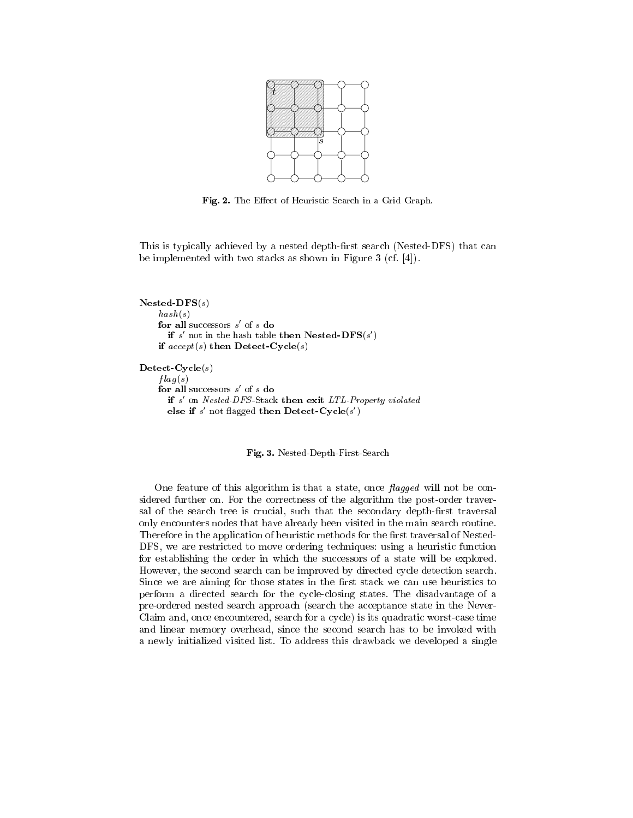

Fig. 2. The Effect of Heuristic Search in a Grid Graph.

This is typically achieved by a nested depth-first search (Nested-DFS) that can be implemented with two stacks as shown in Figure 3 (cf. [4]).

```
Nested-DFS(s)hash(s)for all successors s of s do
      if s not in the hash table then in ested-\mathbf{D} \mathbf{F} \mathbf{S}(s)if accept(s) then Detect-Cycle(s)\textbf{Detect-Cycle}(s)flag(s)for all successors s of s do
      if s
0 on Nested-DFS -Stack then exit LTL-Property violated
      else if s not hagged then Detect-Cycle(s)
```
Fig. 3. Nested-Depth-First-Search

One feature of this algorithm is that a state, once  $flagged$  will not be considered further on. For the correctness of the algorithm the post-order traversal of the search tree is crucial, such that the secondary depth-first traversal only encounters nodes that have already been visited in the main search routine. Therefore in the application of heuristic methods for the first traversal of Nested-DFS, we are restricted to move ordering techniques: using a heuristic function for establishing the order in which the successors of a state will be explored. However, the second search can be improved by directed cycle detection search. Since we are aiming for those states in the first stack we can use heuristics to perform a directed search for the cycle-closing states. The disadvantage of a pre-ordered nested search approach (search the acceptance state in the Never-Claim and, once encountered, search for a cycle) is its quadratic worst-case time and linear memory overhead, since the second search has to be invoked with a newly initialized visited list. To address this drawback we developed a single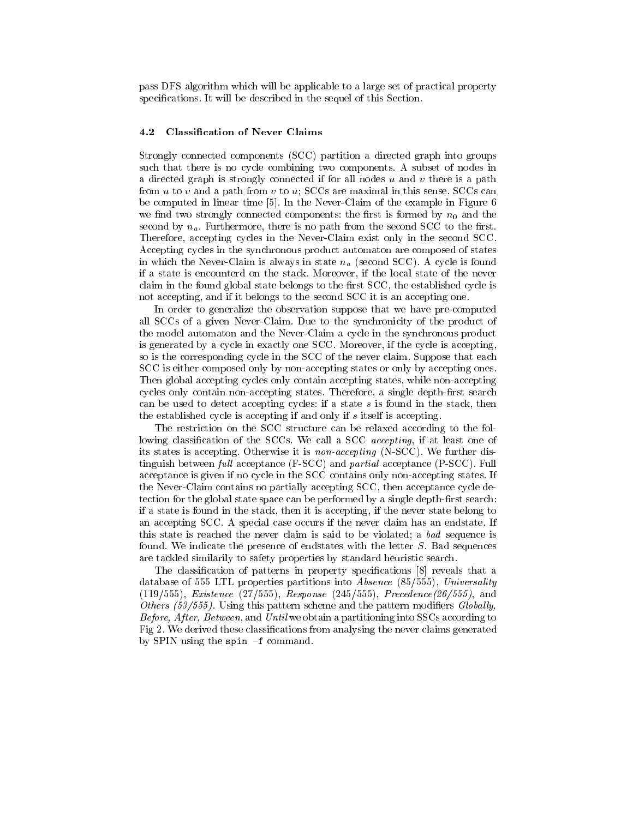pass DFS algorithm which will be applicable to a large set of practical property specifications. It will be described in the sequel of this Section.

#### 4.2 Classication of Never Claims

Strongly connected components (SCC) partition a directed graph into groups such that there is no cycle combining two components. A subset of nodes in a directed graph is strongly connected if for all nodes  $u$  and  $v$  there is a path from u to v and a path from v to u;  $SCCs$  are maximal in this sense.  $SCCs$  can be computed in linear time [5]. In the Never-Claim of the example in Figure 6 we find two strongly connected components: the first is formed by  $n_0$  and the second by  $n_a$ . Furthermore, there is no path from the second SCC to the first. Therefore, accepting cycles in the Never-Claim exist only in the second SCC. Accepting cycles in the synchronous product automaton are composed of states in which the Never-Claim is always in state natural  $\omega$ . A cycle is found  $\omega$ if a state is encounterd on the stack. Moreover, if the local state of the never claim in the found global state belongs to the first SCC, the established cycle is not accepting, and if it belongs to the second SCC it is an accepting one.

In order to generalize the observation suppose that we have pre-computed all SCCs of a given Never-Claim. Due to the synchronicity of the product of the model automaton and the Never-Claim a cycle in the synchronous product is generated by a cycle in exactly one SCC. Moreover, if the cycle is accepting, so is the corresponding cycle in the SCC of the never claim. Suppose that each SCC is either composed only by non-accepting states or only by accepting ones. Then global accepting cycles only contain accepting states, while non-accepting cycles only contain non-accepting states. Therefore, a single depth-first search can be used to detect accepting cycles: if a state s is found in the stack, then the established cycle is accepting if and only if s itself is accepting.

The restriction on the SCC structure can be relaxed according to the fol-The restriction on the SCC structure can be relaxed according to the following to the following to the following to the following to the following to the following to the following to the following to the following to the lowing classification of the SCCs. We call a SCC *accepting*, if at least one of its states is accepting. Otherwise it is non-accepting (N-SCC). We further distinguish between full acceptance  $(F-SCC)$  and partial acceptance  $(P-SCC)$ . Full acceptance is given if no cycle in the SCC contains only non-accepting states. If the Never-Claim contains no partially accepting SCC, then acceptance cycle detection for the global state space can be performed by a single depth-first search: if a state is found in the stack, then it is accepting, if the never state belong to an accepting SCC. A special case occurs if the never claim has an endstate. If this state is reached the never claim is said to be violated; a bad sequence is found. We indicate the presence of endstates with the letter  $S$ . Bad sequences are tackled similarily to safety properties by standard heuristic search.

The classification of patterns in property specifications [8] reveals that a database of 555 LTL properties partitions into Absence (85/555), Universality  $(119/555)$ , *Existence*  $(27/555)$ , *Response*  $(245/555)$ , *Precedence* $(26/555)$ , and Others  $(53/555)$ . Using this pattern scheme and the pattern modifiers Globally, Before, After, Between, and Until we obtain a partitioning into SSCs according to Fig 2. We derived these classications from analysing the never claims generated by SPIN using the spin -f command.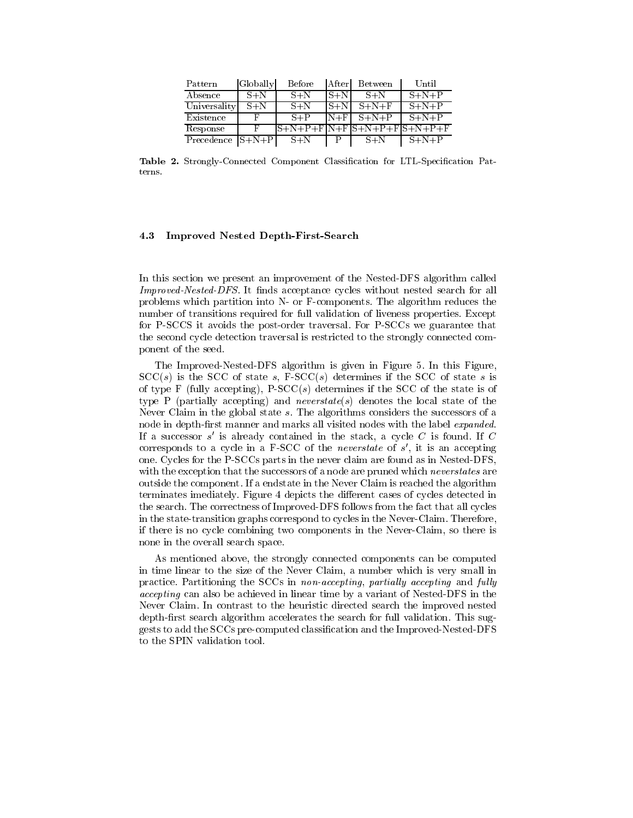| Pattern              | Globally | Before  | After   | Between                     | Until       |
|----------------------|----------|---------|---------|-----------------------------|-------------|
| Absence              | $S + N$  | $S + N$ | $S + N$ | $S + N$                     | $S+N+P$     |
| Universality         | $S + N$  | $S + N$ | $S + N$ | $S+N+F$                     | $S+N+P$     |
| Existence            |          | $S+P$   | $N+F$   | $S+N+P$                     | $S+N+P$     |
| Response             |          |         |         | S+N+P+F N+F S+N+P+F S+N+P+F |             |
| Precedence $ S+N+P $ |          | $S + N$ |         | $S + N$                     | $S + N + P$ |

Table 2. Strongly-Connected Component Classification for LTL-Specification Pat-

#### Improved Nested Depth-First-Search 4.3

In this section we present an improvement of the Nested-DFS algorithm called Improved-Nested-DFS. It finds acceptance cycles without nested search for all problems which partition into N- or F-components. The algorithm reduces the number of transitions required for full validation of liveness properties. Except for P-SCCS it avoids the post-order traversal. For P-SCCs we guarantee that the second cycle detection traversal is restricted to the strongly connected component of the seed.

The Improved-Nested-DFS algorithm is given in Figure 5.In this Figure,  $SCC(s)$  is the SCC of state s, F-SCC(s) determines if the SCC of state s is of type F (fully accepting),  $P-SCC(s)$  determines if the SCC of the state is of type P (partially accepting) and *neverstate(s)* denotes the local state of the Never Claim in the global state s. The algorithms considers the successors of a node in depth-first manner and marks all visited nodes with the label expanded. If a successor  $s$  is already contained in the stack, a cycle  $C$  is found. If  $C$ corresponds to a cycle in a  $r$ -SCC of the *neverstate* of  $s$ , it is an accepting one. Cycles for the P-SCCs parts in the never claim are found as in Nested-DFS, with the exception that the successors of a node are pruned which *neverstates* are outside the component. If a endstate in the Never Claim is reached the algorithm terminates imediately. Figure 4 depicts the different cases of cycles detected in the search. The correctness of Improved-DFS follows from the fact that all cycles in the state-transition graphs correspond to cycles in the Never-Claim. Therefore, if there is no cycle combining two components in the Never-Claim, so there is none in the overall search space.

As mentioned above, the strongly connected components can be computed in time linear to the size of the Never Claim, a number which is very small in practice. Partitioning the SCCs in non-accepting, partially accepting and fully accepting can also be achieved in linear time by a variant of Nested-DFS in the Never Claim. In contrast to the heuristic directed search the improved nested depth-first search algorithm accelerates the search for full validation. This suggests to add the SCCs pre-computed classication and the Improved-Nested-DFS to the SPIN validation tool.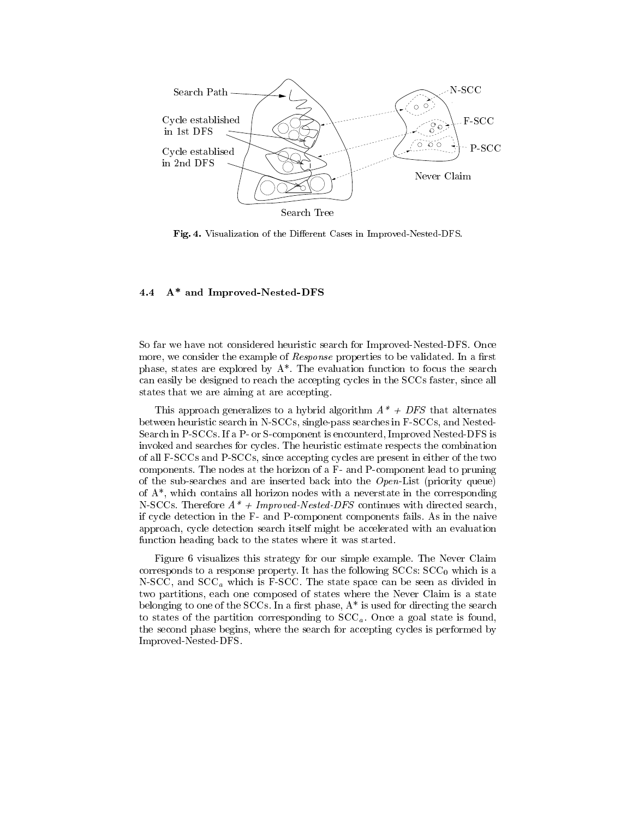

Fig. 4. Visualization of the Different Cases in Improved-Nested-DFS.

#### 4.4 A\* and Improved-Nested-DFS

So far we have not considered heuristic search for Improved-Nested-DFS. Once more, we consider the example of *Response* properties to be validated. In a first phase, states are explored by  $A^*$ . The evaluation function to focus the search can easily be designed to reach the accepting cycles in the SCCs faster, since all states that we are aiming at are accepting.

This approach generalizes to a hybrid algorithm  $A^* + DFS$  that alternates between heuristic search in N-SCCs, single-pass searches in F-SCCs, and Nested-Search in P-SCCs. If a P- or S-component is encounterd, Improved Nested-DFS is invoked and searches for cycles. The heuristic estimate respects the combination of all F-SCCs and P-SCCs, since accepting cycles are present in either of the two components. The nodes at the horizon of a F- and P-component lead to pruning of the sub-searches and are inserted back into the  $Open$ -List (priority queue) of A\*, which contains all horizon nodes with a neverstate in the corresponding N-SCCs. Therefore  $A^*$  + Improved-Nested-DFS continues with directed search, if cycle detection in the F- and P-component components fails. As in the naive approach, cycle detection search itself might be accelerated with an evaluation function heading back to the states where it was started.

Figure 6 visualizes this strategy for our simple example. The Never Claim corresponds to a response property. It has the following  $SCCs$ :  $SCC<sub>0</sub>$  which is a N-SCC, and SCCa which is F-SCC. The state space can be seen as divided in two partitions, each one composed of states where the Never Claim is a state belonging to one of the SCCs. In a first phase,  $A^*$  is used for directing the search to states of the partition corresponding to  $SCC_a$ . Once a goal state is found, the second phase begins, where the search for accepting cycles is performed by Improved-Nested-DFS.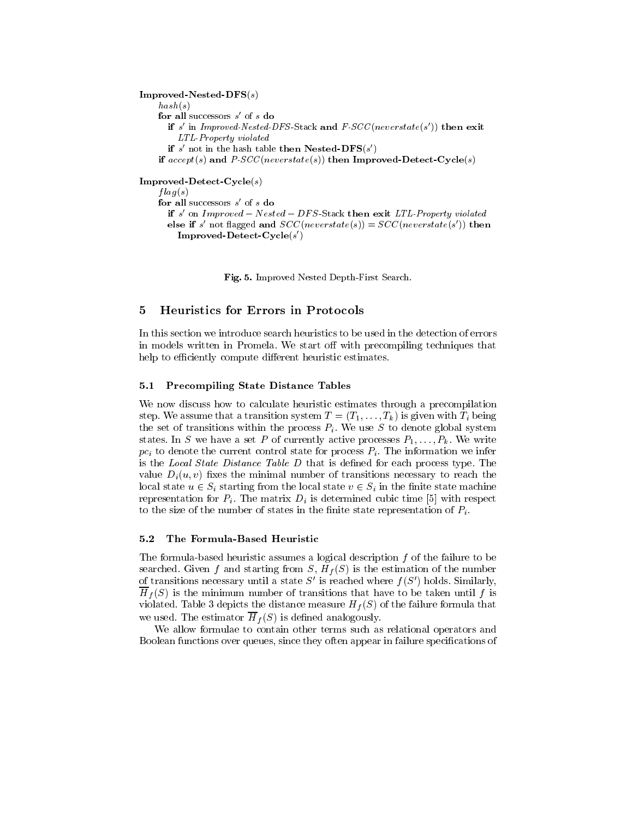$Improved-Nested-DFS(s)$  $hash(s)$ for all successors s of s **do** if s in *improved-Nested-DFS*-Stack and  $F$ -SCC(neverstate(s)) then exit LTL-Property violated if s not in the hash table then in ested- $\mathbf{D} \mathbf{F} \mathbf{S}(s)$ if  $accept(s)$  and  $P \cdot SCC(newerstate(s))$  then Improved-Detect-Cycle(s) Improved-Detect-Cycle(s)  $flag(s)$ for all successors s of s do if s on Improved  $-$  Nested  $-$  DFS-Stack then exit LTL-Property violated else if s not hagged and  $SU($  *neverstate*(s)) =  $SU($  *neverstate*(s)) then Improved-Detect-Cycle(s 0)

Fig. 5. Improved Nested Depth-First Search.

In this section we introduce search heuristics to be used in the detection of errors in models written in Promela. We start off with precompiling techniques that help to efficiently compute different heuristic estimates.

#### 5.1 Precompiling State Distance Tables

We now discuss how to calculate heuristic estimates through a precompilation step. We assume that a transition system  $T = (T_1, \ldots, T_k)$  is given with  $T_i$  being the set of transitions with the process  $P$  . We use  $S$  to denote global system  $\mathcal{U}$  . We use  $S$  to denote global system  $\mathcal{U}$ states. In S we have a set P of currently active processes  $P_1,\ldots,P_k$ . We write  $p$  is denote the current control state for  $\alpha$  . The information  $\alpha$  is the information we inferred we inferred is the *Local State Distance Table D* that is defined for each process type. The value  $D_i(u, v)$  fixes the minimal number of transitions necessary to reach the local state using the local state unit in the local state v  $\alpha$  in the local state v  $\alpha$  in the local state machine state matrix  $\alpha$ representation for Pi . The matrix  $\mathcal{D}_k$  is determined cubic time [5] with respect  $\mathcal{D}_k$ to the size of the number of states in the number of  $\Gamma$  . In the nite state representation of Pi .

#### $5.2$ The Formula-Based Heuristic

The formula-based heuristic assumes a logical description  $f$  of the failure to be searched. Given for the starting from S, H, S, H, S, H, S, H, S, H, S, H, S, H, S, H, S, H, S, H, S, H, S, H, S, H, S, H, S, H, S, H, S, H, S, H, S, H, S, H, S, H, S, H, S, H, S, H, S, H, S, H, S, H, S, H, S, H, S, H, S, of transitions necessary until a state S' is reached where  $f(S')$  holds. Similarly,  $\mathbf{S}$  is the minimum number of transitions that have taken until f is that have taken until f is that have taken until f is that have taken until f is that have taken until f is that have taken until f is that have tak  $\mathbf{I}^{\text{max}}$  depicts the distance measure  $\mathbf{I}^{\text{max}}$ we use the estimator Hf (S) is defined as  $\mathbf{H} = \mathbf{S}$  is defined analogously.

We allow formulae to contain other terms such as relational operators and Boolean functions over queues, since they often appear in failure specifications of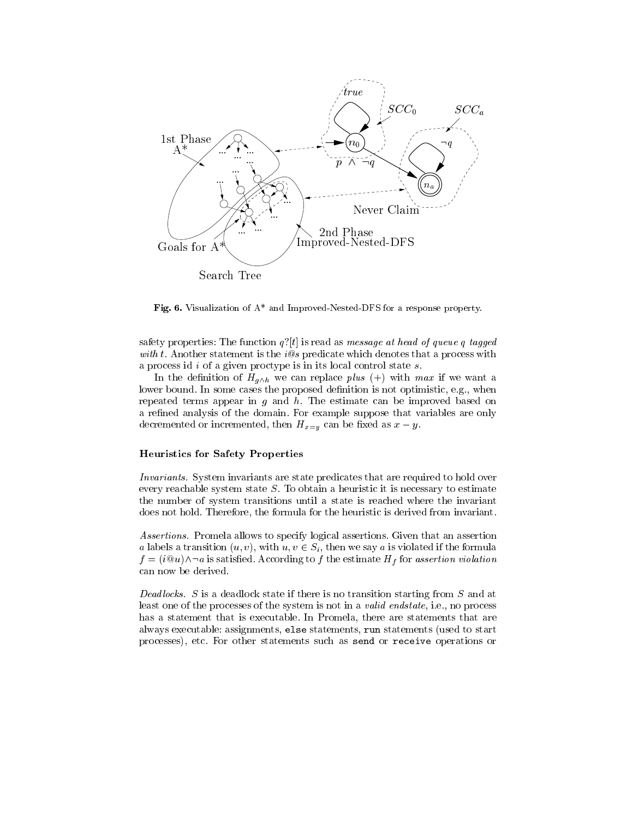

Fig. 6. Visualization of A\* and Improved-Nested-DFS for a response property.

safety properties: The function  $q'[t]$  is read as message at head of queue q tagged with t. Another statement is the  $i@s$  predicate which denotes that a process with a process id  $i$  of a given proctype is in its local control state  $s$ .

In the definition of  $H_{g\wedge h}$  we can replace plus (+) with max if we want a lower bound. In some cases the proposed definition is not optimistic, e.g., when repeated terms appear in  $g$  and  $h$ . The estimate can be improved based on a refined analysis of the domain. For example suppose that variables are only decremented or incremented, then  $H_{x=y}$  can be fixed as  $x-y$ .

#### Heuristics for Safety Properties

Invariants. System invariants are state predicates that are required to hold over every reachable system state  $S$ . To obtain a heuristic it is necessary to estimate the number of system transitions until a state is reached where the invariant does not hold. Therefore, the formula for the heuristic is derived from invariant.

Assertions. Promela allows to specify logical assertions. Given that an assertion a labels a transition (u; v), with u; v 2 Si), where we say a is violated if the formula  $f$  is the estimate to f the estimate  $f$  to f the estimate Hf for assertion violation violation violation violation violation violation violation violation violation violation violation violation violation violation viol can now be derived.

Deadlocks. S is a deadlock state if there is no transition starting from  $S$  and at least one of the processes of the system is not in a *valid endstate*, i.e., no process has a statement that is executable. In Promela, there are statements that are always executable: assignments, else statements, run statements (used to start processes), etc. For other statements such as send or receive operations or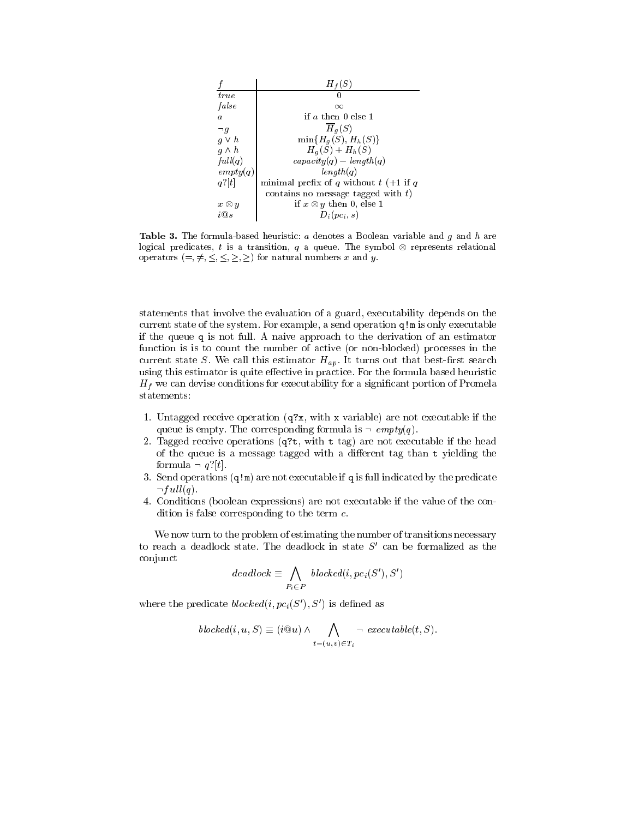|                  | $H_f(S)$                                 |
|------------------|------------------------------------------|
| true             |                                          |
| false            | $\infty$                                 |
| $\boldsymbol{a}$ | if $a$ then $0$ else 1                   |
| $\neg q$         | $H_q(S)$                                 |
| $q \vee h$       | $\min\{H_q(S), H_h(S)\}\$                |
| $q \wedge h$     | $H_q(S) + H_h(S)$                        |
| full(q)          | $capacity(q) - length(q)$                |
| $\exp(ty(q))$    | length(q)                                |
| $q$ ? $ t $      | minimal prefix of q without $t$ (+1 if q |
|                  | contains no message tagged with $t$ )    |
| $x \otimes y$    | if $x \otimes y$ then 0, else 1          |
| iO e             | $D_i(p_{i}, s)$                          |

**Table 3.** The formula-based heuristic:  $a$  denotes a Boolean variable and  $g$  and  $h$  are  $\log$ ical predicates,  $t$  is a transition,  $q$  a queue. The symbol  $\otimes$  represents relational operators  $(=, \neq, \leq, \leq, \geq)$  for natural numbers x and y.

statements that involve the evaluation of a guard, executability depends on the current state of the system. For example, a send operation q!m is only executable if the queue <sup>q</sup> is not full. A naive approach to the derivation of an estimator function is is to count the number of active (or non-blocked) processes in the current state S. We call this estimator  $H_{ap}$ . It turns out that best-first search using this estimator is quite effective in practice. For the formula based heuristic Hf we can devise conditions for executability for a signicant portion of Promela

- 1. Untagged receive operation  $(q\alpha x, \text{ with } x \text{ variable})$  are not executable if the queue is empty. The corresponding formula is  $\neg \text{ empty}(q)$ .
- 2. Tagged receive operations (q?t, with <sup>t</sup> tag) are not executable if the head of the queue is a message tagged with a different tag than  $t$  yielding the formula  $\neg q$ ?[t].
- 3. Send operations  $(q|m)$  are not executable if q is full indicated by the predicate  $\lnot full(q).$
- 4. Conditions (boolean expressions) are not executable if the value of the condition is false corresponding to the term c.

We now turn to the problem of estimating the number of transitions necessary to reach a deadlock state. The deadlock in state  $S'$  can be formalized as the conjunct

$$
deadlock \equiv \bigwedge_{P_i \in P} \; blocked(i, pc_i(S'), S')
$$

where the predicate  $blocked(i, pc_i(S'), S')$  is defined as

$$
blocked(i, u, S) \equiv (i@u) \land \bigwedge_{t=(u,v) \in T_i} \neg \; executable(t, S).
$$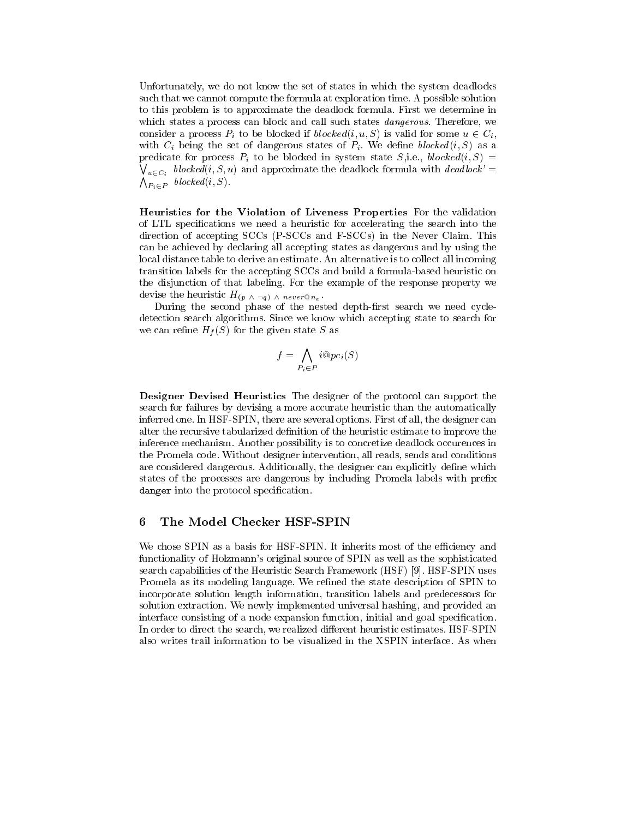Unfortunately, we do not know the set of states in which the system deadlocks such that we cannot compute the formula at exploration time. A possible solution to this problem is to approximate the deadlock formula. First we determine in which states a process can block and call such states *dangerous*. Therefore, we consider a process Pi to be blocked if blocked if blocked if blocked if blocked if  $\mathcal{S}$  is valid for some unit  $\mathcal{S}$ with  $\mathcal{L}_{k}$  is the set of distribution states of  $\mathcal{L}_{k}$  . We define blocked (i) as as as  $\bigvee_{u \in C_i} \textit{blocked}(i, S, u)$  and approximate the deadlock formula with  $\textit{deadlock}' = \emptyset$ predicate for process Pi to be blocked in system state S,i.e., blocked(i; S) <sup>=</sup>  $\bigwedge_{P_i\in P} \text{ blocked}(i, S).$ 

Heuristics for the Violation of Liveness Properties For the validation of LTL specications we need a heuristic for accelerating the search into the direction of accepting SCCs (P-SCCs and F-SCCs) in the Never Claim. This can be achieved by declaring all accepting states as dangerous and by using the local distance table to derive an estimate. An alternative is to collect all incoming transition labels for the accepting SCCs and build a formula-based heuristic on the disjunction of that labeling. For the example of the response property we devise the heuristic  $H_{(p \wedge \neg q) \wedge never@n_q}$ .

During the second phase of the nested depth-first search we need cycledetection search algorithms. Since we know which accepting state to search for we can remain  $\sim$   $\mu$  (S) for the given state S as  $\sim$ 

$$
f = \bigwedge_{P_i \in P} i@pc_i(S)
$$

Designer Devised Heuristics The designer of the protocol can support the search for failures by devising a more accurate heuristic than the automatically inferred one. In HSF-SPIN, there are several options. First of all, the designer can alter the recursive tabularized definition of the heuristic estimate to improve the inference mechanism. Another possibility is to concretize deadlock occurences in the Promela code. Without designer intervention, all reads, sends and conditions are considered dangerous. Additionally, the designer can explicitly define which states of the processes are dangerous by including Promela labels with prefix danger into the protocol specication.

#### 6 The Model Checker HSF-SPIN

We chose SPIN as a basis for HSF-SPIN. It inherits most of the efficiency and functionality of Holzmann's original source of SPIN as well as the sophisticated search capabilities of the Heuristic Search Framework (HSF) [9]. HSF-SPIN uses Promela as its modeling language. We refined the state description of SPIN to incorporate solution length information, transition labels and predecessors for solution extraction. We newly implemented universal hashing, and provided an interface consisting of a node expansion function, initial and goal specification. In order to direct the search, we realized different heuristic estimates. HSF-SPIN also writes trail information to be visualized in the XSPIN interface. As when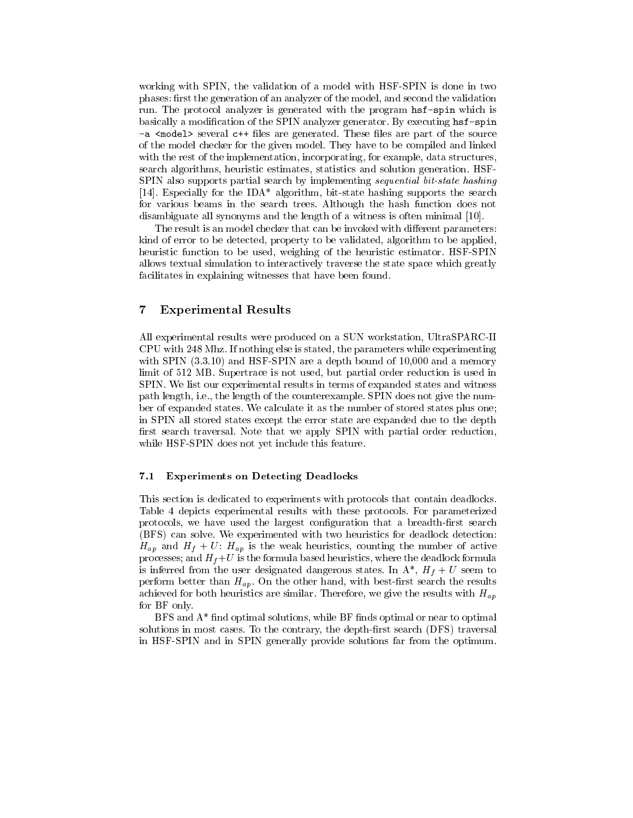working with SPIN, the validation of a model with HSF-SPIN is done in two phases: first the generation of an analyzer of the model, and second the validation run. The protocol analyzer is generated with the program hsf-spin which is basically a modication of the SPIN analyzer generator. By executing hsf-spin -a second several change are generated. These models part of the source are sourced. of the model checker for the given model. They have to be compiled and linked with the rest of the implementation, incorporating, for example, data structures, search algorithms, heuristic estimates, statistics and solution generation. HSF-SPIN also supports partial search by implementing sequential bit-state hashing [14]. Especially for the IDA\* algorithm, bit-state hashing supports the search for various beams in the search trees. Although the hash function does not disambiguate all synonyms and the length of a witness is often minimal [10].

The result is an model checker that can be invoked with different parameters: kind of error to be detected, property to be validated, algorithm to be applied, heuristic function to be used, weighing of the heuristic estimator. HSF-SPIN allows textual simulation to interactively traverse the state space which greatly facilitates in explaining witnesses that have been found.

#### $\overline{7}$ 7 Experimental Results

All experimental results were produced on a SUN workstation, UltraSPARC-II CPU with 248 Mhz. If nothing else is stated, the parameters while experimenting with SPIN  $(3.3.10)$  and HSF-SPIN are a depth bound of 10,000 and a memory limit of 512 MB. Supertrace is not used, but partial order reduction is used in SPIN. We list our experimental results in terms of expanded states and witness path length, i.e., the length of the counterexample. SPIN does not give the number of expanded states. We calculate it as the number of stored states plus one; in SPIN all stored states except the error state are expanded due to the depth first search traversal. Note that we apply SPIN with partial order reduction, while HSF-SPIN does not yet include this feature.

#### 7.1 Experiments on Detecting Deadlocks

This section is dedicated to experiments with protocols that contain deadlocks. Table 4 depicts experimental results with these protocols. For parameterized protocols, we have used the largest configuration that a breadth-first search (BFS) can solve. We experimented with two heuristics for deadlock detection:  $H_1$  , the matrix the weak heuristics, counting the number of active of active of active of active of active of active of active of active of active of active of active of active of active of active of active of active o processes; and Hf +U is the formula based heuristics, where the deadlock formula is inferred from the user dangerous states. In Affine states, in Affine states. In Affine states,  $\mathbf{u}$ perform better than  $H_{ap}$ . On the other hand, with best-first search the results achieved for both heuristics are similar. Therefore, we give the results with  $H_{an}$ for BF only.

 $BFS$  and  $A*$  find optimal solutions, while  $BF$  finds optimal or near to optimal solutions in most cases. To the contrary, the depth-first search  $(DFS)$  traversal in HSF-SPIN and in SPIN generally provide solutions far from the optimum.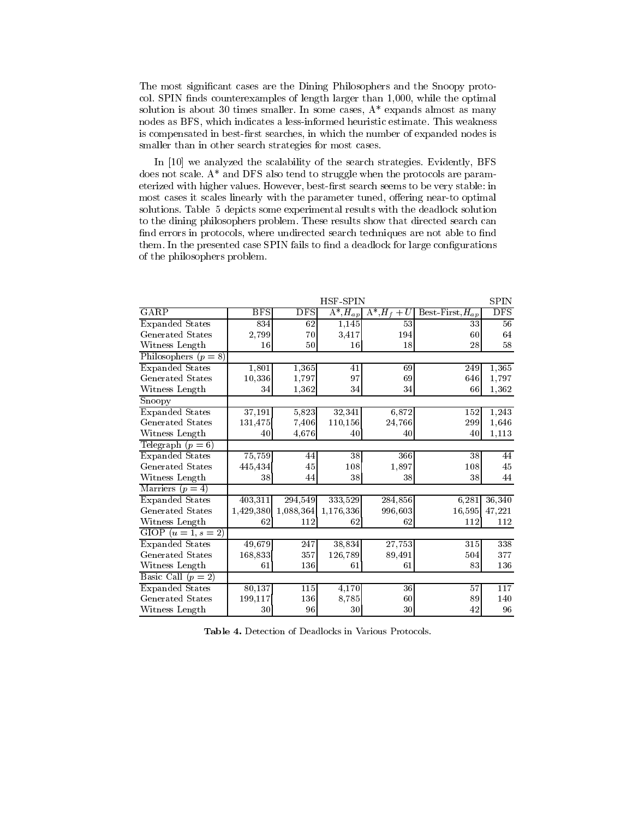The most signicant cases are the Dining Philosophers and the Snoopy protocol. SPIN finds counterexamples of length larger than 1,000, while the optimal solution is about 30 times smaller. In some cases,  $A^*$  expands almost as many nodes as BFS, which indicates a less-informed heuristic estimate. This weakness is compensated in best-first searches, in which the number of expanded nodes is smaller than in other search strategies for most cases.

In [10] we analyzed the scalability of the search strategies. Evidently, BFS does not scale. A\* and DFS also tend to struggle when the protocols are parameterized with higher values. However, best-first search seems to be very stable: in most cases it scales linearly with the parameter tuned, offering near-to optimal solutions. Table 5 depicts some experimental results with the deadlock solution to the dining philosophers problem. These results show that directed search can find errors in protocols, where undirected search techniques are not able to find them. In the presented case SPIN fails to find a deadlock for large configurations of the philosophers problem.

|                            |            |            | HSF-SPIN         |                    |                      | <b>SPIN</b> |  |
|----------------------------|------------|------------|------------------|--------------------|----------------------|-------------|--|
| GARP                       | <b>BFS</b> | <b>DFS</b> | $A^*$ , $H_{ap}$ | $A^*, H_f$<br>$+U$ | Best-First, $H_{ap}$ | <b>DFS</b>  |  |
| <b>Expanded States</b>     | 834        | 62         | 1.145            | 53                 | 33                   | 56          |  |
| Generated States           | 2,799      | 70         | 3,417            | 194                | 60                   | 64          |  |
| Witness Length             | 16         | 50         | 16               | 18                 | 28                   | 58          |  |
| Philosophers $(p = 8)$     |            |            |                  |                    |                      |             |  |
| <b>Expanded States</b>     | 1,801      | 1,365      | 41               | 69                 | 249                  | 1,365       |  |
| <b>Generated States</b>    | 10,336     | 1,797      | 97               | 69                 | 646                  | 1,797       |  |
| Witness Length             | 34         | 1,362      | 34               | 34                 | 66                   | 1,362       |  |
| $\overline{\text{Snoopy}}$ |            |            |                  |                    |                      |             |  |
| Expanded States            | 37,191     | 5,823      | 32,341           | 6,872              | 152                  | 1,243       |  |
| <b>Generated States</b>    | 131,475    | 7.406      | 110,156          | 24,766             | 299                  | 1,646       |  |
| Witness Length             | 40         | 4,676      | 40               | 40                 | 40                   | 1,113       |  |
| Telegraph $(p = 6)$        |            |            |                  |                    |                      |             |  |
| <b>Expanded States</b>     | 75,759     | 44         | 38               | 366                | 38                   | 44          |  |
| <b>Generated States</b>    | 445,434    | $45\,$     | 108              | 1,897              | 108                  | 45          |  |
| Witness Length             | 38         | 44         | 38               | 38                 | 38                   | 44          |  |
| Marriers $(p = 4)$         |            |            |                  |                    |                      |             |  |
| <b>Expanded States</b>     | 403,311    | 294,549    | 333,529          | 284,856            | 6,281                | 36,340      |  |
| <b>Generated States</b>    | 1,429,380  | 1,088,364  | 1,176,336        | 996,603            | 16,595               | 47,221      |  |
| Witness Length             | 62         | 112        | 62               | 62                 | 112                  | 112         |  |
| GIOP $(u = 1, s = 2)$      |            |            |                  |                    |                      |             |  |
| <b>Expanded States</b>     | 49,679     | 247        | 38,834           | 27,753             | 315                  | 338         |  |
| Generated States           | 168,833    | 357        | 126,789          | 89,491             | 504                  | 377         |  |
| Witness Length             | 61         | 136        | 61               | 61                 | 83                   | 136         |  |
| Basic Call $(p = 2)$       |            |            |                  |                    |                      |             |  |
| <b>Expanded States</b>     | 80,137     | 115        | 4,170            | 36                 | 57                   | 117         |  |
| Generated States           | 199,117    | 136        | 8,785            | 60                 | 89                   | 140         |  |
| Witness Length             | 30         | 96         | 30               | 30                 | 42                   | 96          |  |

Table 4. Detection of Deadlocks in Various Protocols.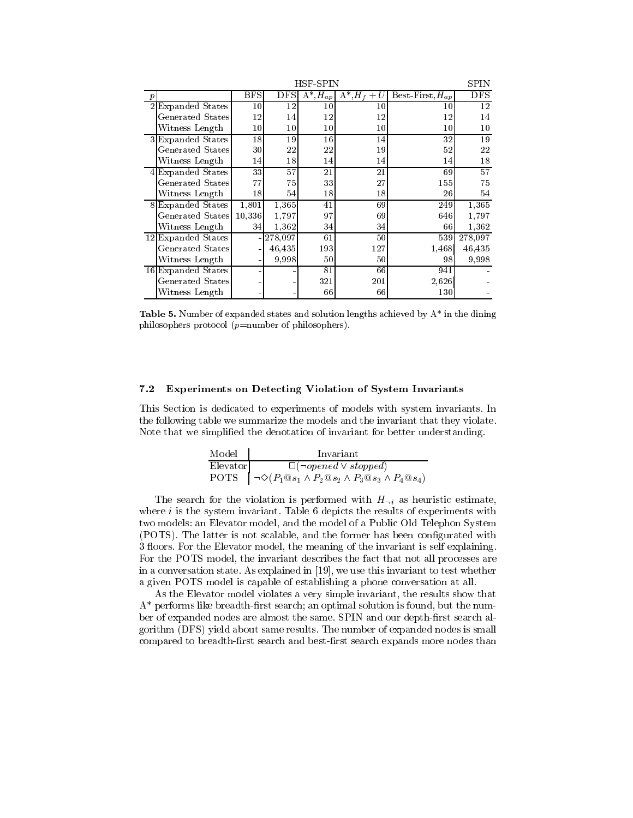|   |                         | HSF-SPIN        |                 |                         |                   |                      |            |
|---|-------------------------|-----------------|-----------------|-------------------------|-------------------|----------------------|------------|
|   |                         | <b>BFS</b>      | DFS             | $\overline{A^*,}H_{ap}$ | $A^*$ , $H_f + U$ | Best-First, $H_{ap}$ | <b>DFS</b> |
|   | Expanded States         | 10 <sup>1</sup> | 12              | 10                      | 10                | 10                   | 12         |
|   | Generated States        | 12              | 14              | 12                      | 12                | 12                   | 14         |
|   | Witness Length          | $10\,$          | 10 <sup>1</sup> | $10\,$                  | $10\,$            | 10                   | $10\,$     |
|   | <b>Expanded States</b>  | 18              | 19              | 16                      | 14                | 32                   | 19         |
|   | <b>Generated States</b> | 30              | 22              | 22                      | 19                | 52                   | 22         |
|   | Witness Length          | 14              | 18              | 14                      | 14                | 14                   | 18         |
|   | Expanded States         | 33              | 57              | 21                      | 21                | 69                   | 57         |
|   | Generated States        | 77              | 75              | 33                      | 27                | 155                  | 75         |
|   | Witness Length          | 18              | 54              | 18                      | 18                | 26                   | 54         |
| 8 | Expanded States         | 1,801           | 1,365           | 41                      | 69                | 249                  | 1,365      |
|   | <b>Generated States</b> | 10,336          | 1,797           | 97                      | 69                | 646                  | 1,797      |
|   | Witness Length          | 34              | 1,362           | 34                      | 34                | 66                   | 1,362      |
|   | 12 Expanded States      |                 | 278,097         | 61                      | 50                | 539                  | 278,097    |
|   | Generated States        |                 | 46,435          | 193                     | 127               | 1,468                | 46,435     |
|   | Witness Length          |                 | 9.998           | 50                      | 50                | 98                   | 9.998      |
|   | 16 Expanded States      |                 |                 | 81                      | 66                | 941                  |            |
|   | <b>Generated States</b> |                 |                 | 321                     | 201               | 2,626                |            |
|   | Witness Length          |                 |                 | 66                      | 66                | 130                  |            |

Table 5. Number of expanded states and solution lengths achieved by A\* in the dining philosophers protocol ( $p=$ number of philosophers).

#### 7.2 Experiments on Detecting Violation of System Invariants

This Section is dedicated to experiments of models with system invariants. In the following table we summarize the models and the invariant that they violate. Note that we simplified the denotation of invariant for better understanding.

| Model    | Invariant                                                                          |
|----------|------------------------------------------------------------------------------------|
| Elevator | $\Box(\neg opened \lor stopped)$                                                   |
|          | POTS $  \neg \Diamond (P_1 @ s_1 \land P_2 @ s_2 \land P_3 @ s_3 \land P_4 @ s_4)$ |

The search for the violation is performed with  $H_{\neg i}$  as heuristic estimate, where  $i$  is the system invariant. Table 6 depicts the results of experiments with two models: an Elevator model, and the model of a Public Old Telephon System (POTS). The latter is not scalable, and the former has been congurated with 3 floors. For the Elevator model, the meaning of the invariant is self explaining. For the POTS model, the invariant describes the fact that not all processes are in a conversation state. As explained in [19], we use this invariant to test whether a given POTS model is capable of establishing a phone conversation at all.

As the Elevator model violates a very simple invariant, the results show that  $A^*$  performs like breadth-first search; an optimal solution is found, but the number of expanded nodes are almost the same. SPIN and our depth-first search algorithm (DFS) yield about same results. The number of expanded nodes is small compared to breadth-first search and best-first search expands more nodes than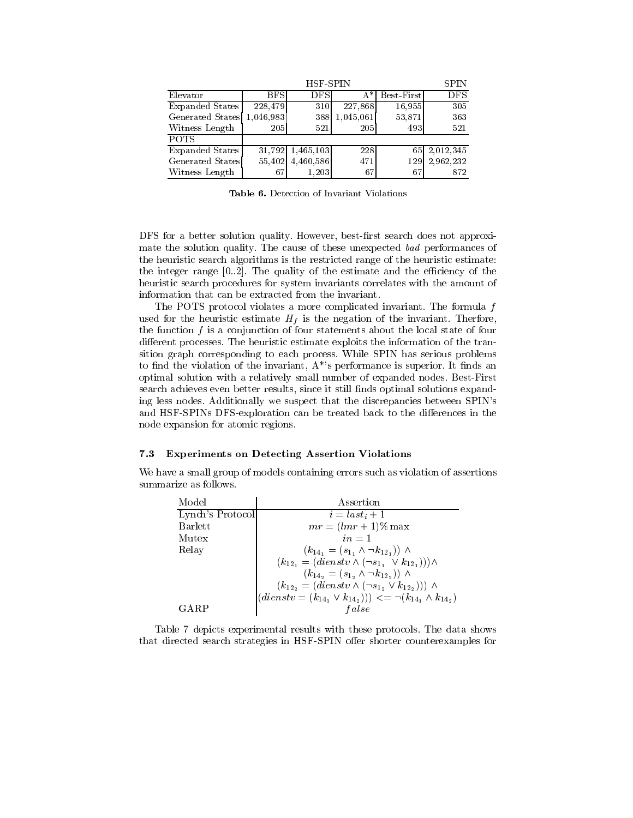|                            |            | <b>HSF-SPIN</b> |            |            | <b>SPIN</b>               |
|----------------------------|------------|-----------------|------------|------------|---------------------------|
| Elevator                   | <b>BFS</b> | <b>DFS</b>      | A*         | Best First | $\overline{\mathrm{DFS}}$ |
| Expanded States            | 228,479    | 310             | 227,868    | 16,955     | 305                       |
| Generated States 1,046,983 |            | 388             | 1,045,061  | 53,871     | 363                       |
| Witness Length             | <b>205</b> | 521             | <b>205</b> | 493        | 521                       |
| <b>POTS</b>                |            |                 |            |            |                           |
| Expanded States            | 31,792     | 1,465,103       | 228        |            | 65 2.012,345              |
| Generated States           | 55,402     | 4,460,586       | 471        | 129        | 2,962,232                 |
| Witness Length             | 67         | 1.203           | 67         | 67         | 872                       |

Table 6. Detection of Invariant Violations

DFS for a better solution quality. However, best-first search does not approximate the solution quality. The cause of these unexpected bad performances of the heuristic search algorithms is the restricted range of the heuristic estimate: the integer range  $[0..2]$ . The quality of the estimate and the efficiency of the heuristic search procedures for system invariants correlates with the amount of information that can be extracted from the invariant.

The POTS protocol violates a more complicated invariant. The formula  $f$ used for the heuristic estimate Hf is the negation of the invariant. Therfore, the function  $f$  is a conjunction of four statements about the local state of four different processes. The heuristic estimate exploits the information of the transition graph corresponding to each process. While SPIN has serious problems to find the violation of the invariant,  $A^*$ 's performance is superior. It finds an optimal solution with a relatively small number of expanded nodes. Best-First search achieves even better results, since it still finds optimal solutions expanding less nodes. Additionally we suspect that the discrepancies between SPIN's and HSF-SPINs DFS-exploration can be treated back to the differences in the node expansion for atomic regions.

#### 7.3 Experiments on Detecting Assertion Violations

We have a small group of models containing errors such as violation of assertions summarize as follows.

| Model            | Assertion                                                                     |
|------------------|-------------------------------------------------------------------------------|
| Lynch's Protocol | $i = last_i + 1$                                                              |
| <b>Barlett</b>   | $mr = (lmr + 1)\%$ max                                                        |
| Mutex            | $in = 1$                                                                      |
| Relay            | $(k_{14_1} = (s_{1_1} \wedge \neg k_{12_1})) \wedge$                          |
|                  | $(k_{12_1} = (dienstv \wedge (\neg s_{1_1} \vee k_{12_1}))) \wedge$           |
|                  | $(k_{142} = (s_{12} \wedge \neg k_{122})) \wedge$                             |
|                  | $(k_{12_2} = (dienstv \wedge (\neg s_{1_2} \vee k_{12_2}))) \wedge$           |
|                  | $((dienstv = (k_{14_1} \vee k_{14_2}))) \leq \neg (k_{14_1} \wedge k_{14_2})$ |
|                  | false                                                                         |

Table 7 depicts experimental results with these protocols. The data shows that directed search strategies in HSF-SPIN offer shorter counterexamples for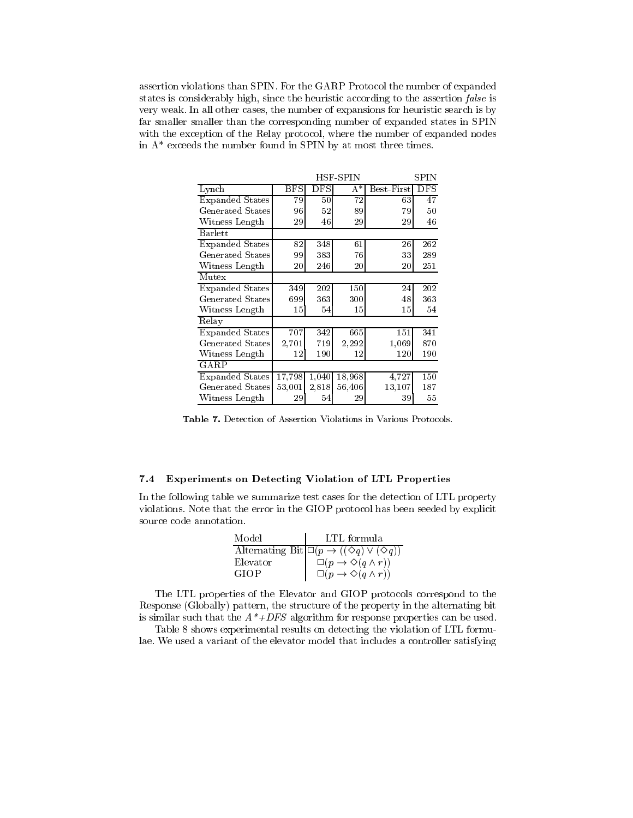assertion violations than SPIN. For the GARP Protocol the number of expanded states is considerably high, since the heuristic according to the assertion *false* is very weak. In all other cases, the number of expansions for heuristic search is by far smaller smaller than the corresponding number of expanded states in SPIN with the exception of the Relay protocol, where the number of expanded nodes in  $A^*$  exceeds the number found in SPIN by at most three times.

|                        | HSF-SPIN     |         | SPIN    |            |            |
|------------------------|--------------|---------|---------|------------|------------|
| Lynch                  | $_{\rm BFS}$ | DFS     | A*      | Best-First | <b>DFS</b> |
| <b>Expanded States</b> | 79           | 50      | 72      | 63         | 47         |
| Generated States       | 96           | 52      | 89      | 79         | 50         |
| Witness Length         | 29           | 46      | 29      | 29         | 46         |
| <b>Barlett</b>         |              |         |         |            |            |
| <b>Expanded States</b> | 82           | 348     | 61      | 26         | 262        |
| Generated States       | 99           | 383     | 76      | 33         | 289        |
| Witness Length         | $20\,$       | 246     | 20      | $20\,$     | 251        |
| Mutex                  |              |         |         |            |            |
| <b>Expanded States</b> | 349          | $202\,$ | $150\,$ | 24         | 202        |
| Generated States       | 699          | 363     | 300     | 48         | 363        |
| Witness Length         | 15           | 54      | 15      | 15         | 54         |
| Relay                  |              |         |         |            |            |
| <b>Expanded States</b> | 707          | 342     | 665     | 151        | 341        |
| Generated States       | 2,701        | 719     | 2,292   | 1,069      | 870        |
| Witness Length         | 12           | 190     | 12      | 120        | 190        |
| GARP                   |              |         |         |            |            |
| <b>Expanded States</b> | 17,798       | 1,040   | 18,968  | 4,727      | 150        |
| Generated States       | 53,001       | 2,818   | 56,406  | 13,107     | 187        |
| Witness Length         | 29           | 54      | 29      | 39         | 55         |

Table 7. Detection of Assertion Violations in Various Protocols.

## 7.4 Experiments on Detecting Violation of LTL Properties

In the following table we summarize test cases for the detection of LTL property violations. Note that the error in the GIOP protocol has been seeded by explicit source code annotation.

| Model    | LTL formula                                                           |
|----------|-----------------------------------------------------------------------|
|          | Alternating Bit $\Box(p \rightarrow ((\Diamond q) \vee (\Diamond q))$ |
| Elevator | $\Box(p \rightarrow \Diamond(q \land r))$                             |
| GIOP     | $\Box(p \rightarrow \Diamond(q \land r))$                             |

The LTL properties of the Elevator and GIOP protocols correspond to the Response (Globally) pattern, the structure of the property in the alternating bit is similar such that the  $A^* + DFS$  algorithm for response properties can be used.

Table 8 shows experimental results on detecting the violation of LTL formulae. We used a variant of the elevator model that includes a controller satisfying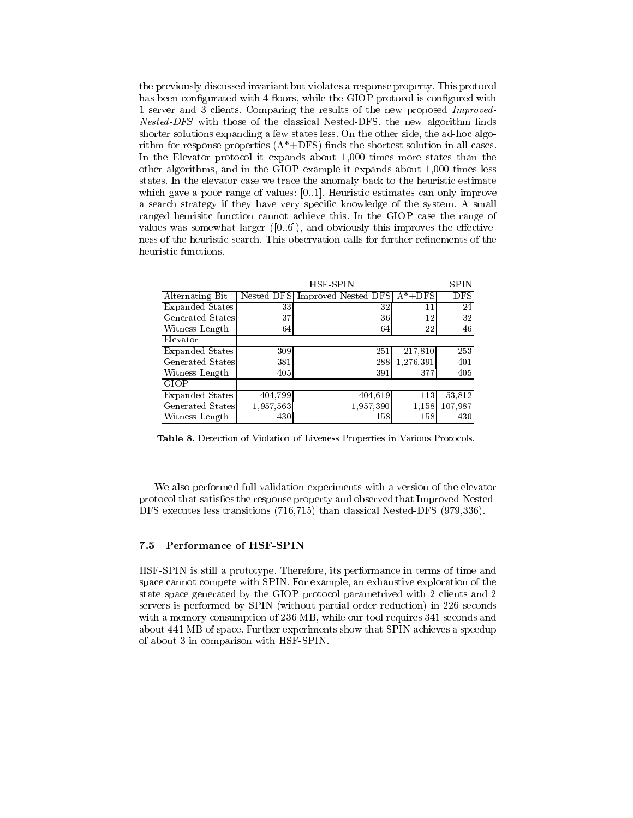the previously discussed invariant but violates a response property. This protocol has been configurated with 4 floors, while the GIOP protocol is configured with 1 server and 3 clients. Comparing the results of the new proposed Improved-*Nested-DFS* with those of the classical Nested-DFS, the new algorithm finds shorter solutions expanding a few states less. On the other side, the ad-hoc algorithm for response properties  $(A^*+DFS)$  finds the shortest solution in all cases. In the Elevator protocol it expands about 1,000 times more states than the other algorithms, and in the GIOP example it expands about 1,000 times less states. In the elevator case we trace the anomaly back to the heuristic estimate which gave a poor range of values: [0..1]. Heuristic estimates can only improve a search strategy if they have very specic knowledge of the system. A small ranged heurisitc function cannot achieve this. In the GIOP case the range of values was somewhat larger  $([0..6])$ , and obviously this improves the effectiveness of the heuristic search. This observation calls for further renements of the heuristic functions.

|                        |            | HSF-SPIN            |           | <b>SPIN</b> |
|------------------------|------------|---------------------|-----------|-------------|
| Alternating Bit        | Nested-DFS | Improved-Nested-DFS | $A^*+DFS$ | <b>DFS</b>  |
| Expanded States        | 33         | 32                  | 11        | 24          |
| Generated States       | 37         | 36                  | 12        | 32          |
| Witness Length         | 64         | 64                  | 22        | 46          |
| Elevator               |            |                     |           |             |
| Expanded States        | 309        | 251                 | 217,810   | 253         |
| Generated States       | 381        | 288                 | 1,276,391 | 401         |
| Witness Length         | 405        | 391                 | 377       | 405         |
| <b>GIOP</b>            |            |                     |           |             |
| <b>Expanded States</b> | 404,799    | 404,619             | 113       | 53.812      |
| Generated States       | 1,957,563  | 1,957,390           | 1.158     | 107,987     |
| Witness Length         | 430        | 158                 | 158       | 430         |

Table 8. Detection of Violation of Liveness Properties in Various Protocols.

We also performed full validation experiments with a version of the elevator protocol that satises the response property and observed that Improved-Nested-DFS executes less transitions (716,715) than classical Nested-DFS (979,336).

## 7.5 Performance of HSF-SPIN

HSF-SPIN is still a prototype. Therefore, its performance in terms of time and space cannot compete with SPIN. For example, an exhaustive exploration of the state space generated by the GIOP protocol parametrized with 2 clients and 2 servers is performed by SPIN (without partial order reduction) in 226 seconds with a memory consumption of 236 MB, while our tool requires 341 seconds and about 441 MB of space. Further experiments show that SPIN achieves a speedup of about 3 in comparison with HSF-SPIN.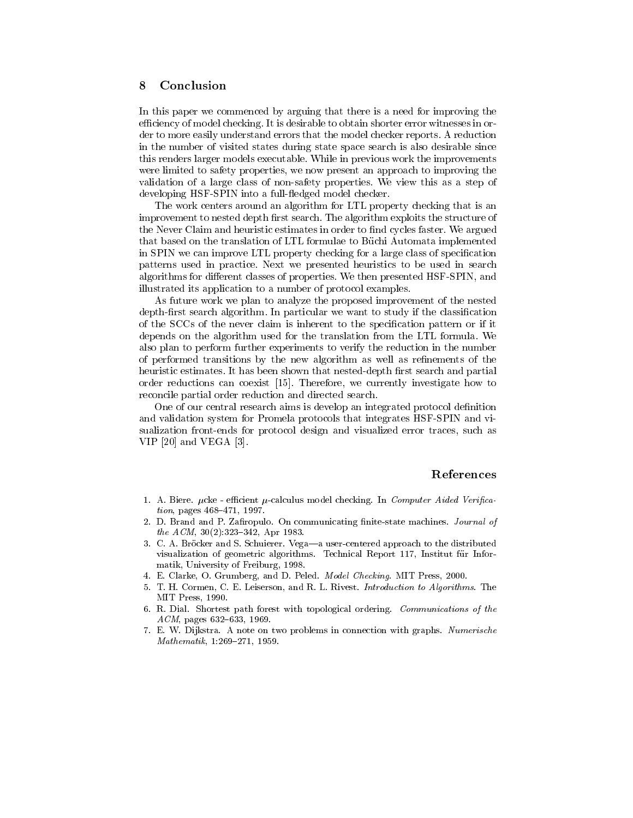## 8 Conclusion

In this paper we commenced by arguing that there is a need for improving the efficiency of model checking. It is desirable to obtain shorter error witnesses in order to more easily understand errors that the model checker reports. A reduction in the number of visited states during state space search is also desirable since this renders larger models executable. While in previous work the improvements were limited to safety properties, we now present an approach to improving the validation of a large class of non-safety properties. We view this as a step of developing HSF-SPIN into a full-fledged model checker.

The work centers around an algorithm for LTL property checking that is an improvement to nested depth first search. The algorithm exploits the structure of the Never Claim and heuristic estimates in order to find cycles faster. We argued that based on the translation of LTL formulae to Buchi Automata implemented in SPIN we can improve LTL property checking for a large class of specication patterns used in practice. Next we presented heuristics to be used in search algorithms for different classes of properties. We then presented HSF-SPIN, and illustrated its application to a number of protocol examples.

As future work we plan to analyze the proposed improvement of the nested depth-first search algorithm. In particular we want to study if the classification of the SCCs of the never claim is inherent to the specication pattern or if it depends on the algorithm used for the translation from the LTL formula. We also plan to perform further experiments to verify the reduction in the number of performed transitions by the new algorithm as well as refinements of the heuristic estimates. It has been shown that nested-depth first search and partial order reductions can coexist [15]. Therefore, we currently investigate how to reconcile partial order reduction and directed search.

One of our central research aims is develop an integrated protocol definition and validation system for Promela protocols that integrates HSF-SPIN and visualization front-ends for protocol design and visualized error traces, such as VIP [20] and VEGA [3].

#### References

- 1. A. Biere.  $\mu$ cke efficient  $\mu$ -calculus model checking. In Computer Aided Verifica $tion, pages 468–471, 1997.$
- 2. D. Brand and P. Zafiropulo. On communicating finite-state machines. Journal of the  $ACM$ ,  $30(2):323-342$ , Apr 1983.
- 3. C. A. Bröcker and S. Schuierer. Vega-a user-centered approach to the distributed visualization of geometric algorithms. Technical Report 117, Institut fur Informatik, University of Freiburg, 1998.
- 4. E. Clarke, O. Grumberg, and D. Peled. Model Checking. MIT Press, 2000.
- 5. T. H. Cormen, C. E. Leiserson, and R. L. Rivest. Introduction to Algorithms. The MIT Press, 1990.
- 6. R. Dial. Shortest path forest with topological ordering. Communications of the  $ACM$ , pages 632-633, 1969.
- 7. E. W. Dijkstra. A note on two problems in connection with graphs. Numerische  $Mathematik, 1:269-271, 1959.$